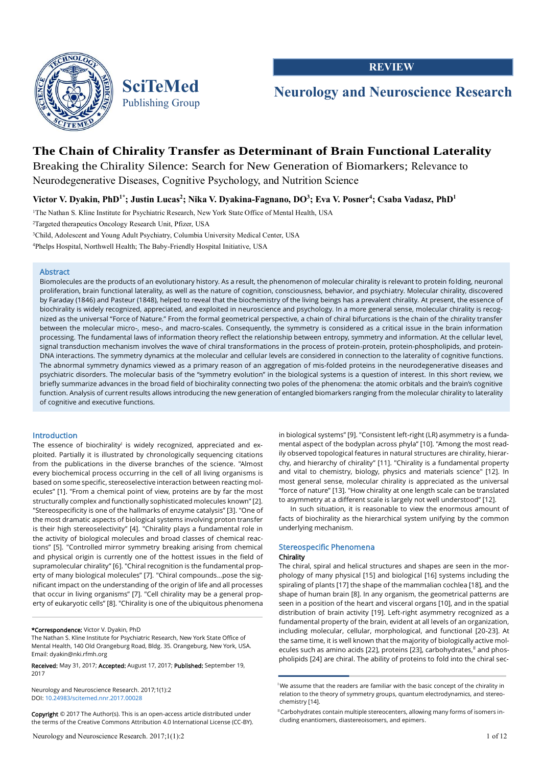



**REVIEW**

# **Neurology and Neuroscience Research**

## **The Chain of Chirality Transfer as Determinant of Brain Functional Laterality**

Breaking the Chirality Silence: Search for New Generation of Biomarkers; Relevance to Neurodegenerative Diseases, Cognitive Psychology, and Nutrition Science

**Victor V. Dyakin, PhD1\*; Justin Lucas<sup>2</sup> ; Nika V. Dyakina-Fagnano, DO 3 ; Eva V. Posner<sup>4</sup> ; Csaba Vadasz, PhD 1**

<sup>1</sup>The Nathan S. Kline Institute for Psychiatric Research, New York State Office of Mental Health, USA

<sup>2</sup>Targeted therapeutics Oncology Research Unit, Pfizer, USA

<sup>3</sup>Child, Adolescent and Young Adult Psychiatry, Columbia University Medical Center, USA

<sup>4</sup>Phelps Hospital, Northwell Health; The Baby-Friendly Hospital Initiative, USA

## Abstract

Biomolecules are the products of an evolutionary history. As a result, the phenomenon of molecular chirality is relevant to protein folding, neuronal proliferation, brain functional laterality, as well as the nature of cognition, consciousness, behavior, and psychiatry. Molecular chirality, discovered by Faraday (1846) and Pasteur (1848), helped to reveal that the biochemistry of the living beings has a prevalent chirality. At present, the essence of biochirality is widely recognized, appreciated, and exploited in neuroscience and psychology. In a more general sense, molecular chirality is recognized as the universal "Force of Nature." From the formal geometrical perspective, a chain of chiral bifurcations is the chain of the chirality transfer between the molecular micro-, meso-, and macro-scales. Consequently, the symmetry is considered as a critical issue in the brain information processing. The fundamental laws of information theory reflect the relationship between entropy, symmetry and information. At the cellular level, signal transduction mechanism involves the wave of chiral transformations in the process of protein-protein, protein-phospholipids, and protein-DNA interactions. The symmetry dynamics at the molecular and cellular levels are considered in connection to the laterality of cognitive functions. The abnormal symmetry dynamics viewed as a primary reason of an aggregation of mis-folded proteins in the neurodegenerative diseases and psychiatric disorders. The molecular basis of the "symmetry evolution" in the biological systems is a question of interest. In this short review, we briefly summarize advances in the broad field of biochirality connecting two poles of the phenomena: the atomic orbitals and the brain's cognitive function. Analysis of current results allows introducing the new generation of entangled biomarkers ranging from the molecular chirality to laterality of cognitive and executive functions.

#### Introduction

The essence of biochirality<sup>1</sup> is widely recognized, appreciated and exploited. Partially it is illustrated by chronologically sequencing citations from the publications in the diverse branches of the science. "Almost every biochemical process occurring in the cell of all living organisms is based on some specific, stereoselective interaction between reacting molecules" [1]. "From a chemical point of view, proteins are by far the most structurally complex and functionally sophisticated molecules known" [2]. "Stereospecificity is one of the hallmarks of enzyme catalysis" [3]. "One of the most dramatic aspects of biological systems involving proton transfer is their high stereoselectivity" [4]. "Chirality plays a fundamental role in the activity of biological molecules and broad classes of chemical reactions" [5]. "Controlled mirror symmetry breaking arising from chemical and physical origin is currently one of the hottest issues in the field of supramolecular chirality" [6]. "Chiral recognition is the fundamental property of many biological molecules" [7]. "Chiral compounds…pose the significant impact on the understanding of the origin of life and all processes that occur in living organisms" [7]. "Cell chirality may be a general property of eukaryotic cells" [8]. "Chirality is one of the ubiquitous phenomena

#### \*Correspondence: Victor V. Dyakin, PhD

The Nathan S. Kline Institute for Psychiatric Research, New York State Office of Mental Health, 140 Old Orangeburg Road, Bldg. 35. Orangeburg, New York, USA. Email: dyakin@nki.rfmh.org

Received: May 31, 2017; Accepted: August 17, 2017; Published: September 19, 2017

Neurology and Neuroscience Research. 2017;1(1):2 DOI: [10.24983/scitemed.nnr.2017.00028](https://doi.org/10.24983/scitemed.nnr.2017.00028)

Copyright © 2017 The Author(s). This is an open-access article distributed under the terms of the Creative Commons Attribution 4.0 International License (CC-BY). in biological systems" [9]. "Consistent left-right (LR) asymmetry is a fundamental aspect of the bodyplan across phyla" [10]. "Among the most readily observed topological features in natural structures are chirality, hierarchy, and hierarchy of chirality" [11]. "Chirality is a fundamental property and vital to chemistry, biology, physics and materials science" [12]. In most general sense, molecular chirality is appreciated as the universal "force of nature" [13]. "How chirality at one length scale can be translated to asymmetry at a different scale is largely not well understood" [12].

In such situation, it is reasonable to view the enormous amount of facts of biochirality as the hierarchical system unifying by the common underlying mechanism.

#### Stereospecific Phenomena

#### Chirality

The chiral, spiral and helical structures and shapes are seen in the morphology of many physical [15] and biological [16] systems including the spiraling of plants [17] the shape of the mammalian cochlea [18], and the shape of human brain [8]. In any organism, the geometrical patterns are seen in a position of the heart and visceral organs [10], and in the spatial distribution of brain activity [19]. Left-right asymmetry recognized as a fundamental property of the brain, evident at all levels of an organization, including molecular, cellular, morphological, and functional [20-23]. At the same time, it is well known that the majority of biologically active molecules such as amino acids [22], proteins [23], carbohydrates,<sup>II</sup> and phospholipids [24] are chiral. The ability of proteins to fold into the chiral sec-

<sup>&</sup>lt;sup>1</sup>We assume that the readers are familiar with the basic concept of the chirality in relation to the theory of symmetry groups, quantum electrodynamics, and stereochemistry [14].

<sup>&</sup>lt;sup>II</sup> Carbohydrates contain multiple stereocenters, allowing many forms of isomers including enantiomers, diastereoisomers, and epimers.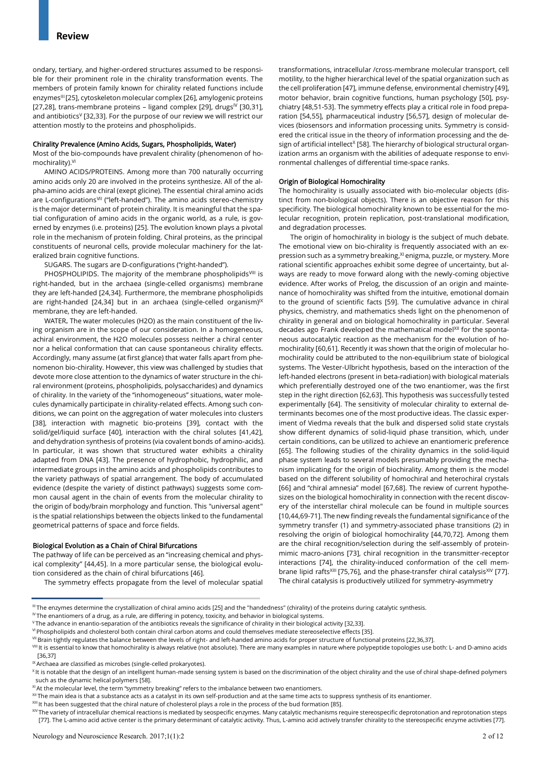ondary, tertiary, and higher-ordered structures assumed to be responsible for their prominent role in the chirality transformation events. The members of protein family known for chirality related functions include enzymes<sup>III</sup> [25], cytoskeleton molecular complex [26], amylogenic proteins [27,28], trans-membrane proteins – ligand complex [29], drugs<sup>IV</sup> [30,31], and antibiotics<sup> $V$ </sup> [32,33]. For the purpose of our review we will restrict our attention mostly to the proteins and phospholipids.

#### Chirality Prevalence (Amino Acids, Sugars, Phospholipids, Water)

Most of the bio-compounds have prevalent chirality (phenomenon of homochirality).<sup>VI</sup>

AMINO ACIDS/PROTEINS. Among more than 700 naturally occurring amino acids only 20 are involved in the proteins synthesize. All of the alpha-amino acids are chiral (exept glicine). The essential chiral amino acids are L-configurations<sup>VII</sup> ("left-handed"). The amino acids stereo-chemistry is the major determinant of protein chirality. It is meaningful that the spatial configuration of amino acids in the organic world, as a rule, is governed by enzymes (i.e. proteins) [25]. The evolution known plays a pivotal role in the mechanism of protein folding. Chiral proteins, as the principal constituents of neuronal cells, provide molecular machinery for the lateralized brain cognitive functions.

SUGARS. The sugars are D-configurations ("right-handed").

PHOSPHOLIPIDS. The majority of the membrane phospholipids<sup>VIII</sup> is right-handed, but in the archaea (single-celled organisms) membrane they are left-handed [24,34]. Furthermore, the membrane phospholipids are right-handed [24,34] but in an archaea (single-celled organism) $\mathbb{X}$ membrane, they are left-handed.

WATER. The water molecules (H2O) as the main constituent of the living organism are in the scope of our consideration. In a homogeneous, achiral environment, the H2O molecules possess neither a chiral center nor a helical conformation that can cause spontaneous chirality effects. Accordingly, many assume (at first glance) that water falls apart from phenomenon bio-chirality. However, this view was challenged by studies that devote more close attention to the dynamics of water structure in the chiral environment (proteins, phospholipids, polysaccharides) and dynamics of chirality. In the variety of the "inhomogeneous" situations, water molecules dynamically participate in chirality-related effects. Among such conditions, we can point on the aggregation of water molecules into clusters [38], interaction with magnetic bio-proteins [39], contact with the solid/gel/liquid surface [40], interaction with the chiral solutes [41,42], and dehydration synthesis of proteins (via covalent bonds of amino-acids). In particular, it was shown that structured water exhibits a chirality adapted from DNA [43]. The presence of hydrophobic, hydrophilic, and intermediate groups in the amino acids and phospholipids contributes to the variety pathways of spatial arrangement. The body of accumulated evidence (despite the variety of distinct pathways) suggests some common causal agent in the chain of events from the molecular chirality to the origin of body/brain morphology and function. This "universal agent" is the spatial relationships between the objects linked to the fundamental geometrical patterns of space and force fields.

#### Biological Evolution as a Chain of Chiral Bifurcations

The pathway of life can be perceived as an "increasing chemical and physical complexity" [44,45]. In a more particular sense, the biological evolution considered as the chain of chiral bifurcations [46].

The symmetry effects propagate from the level of molecular spatial

transformations, intracellular /cross-membrane molecular transport, cell motility, to the higher hierarchical level of the spatial organization such as the cell proliferation [47], immune defense, environmental chemistry [49], motor behavior, brain cognitive functions, human psychology [50], psychiatry [48,51-53]. The symmetry effects play a critical role in food preparation [54,55], pharmaceutical industry [56,57], design of molecular devices (biosensors and information processing units. Symmetry is considered the critical issue in the theory of information processing and the design of artificial intellect<sup>x</sup> [58]. The hierarchy of biological structural organization arms an organism with the abilities of adequate response to environmental challenges of differential time-space ranks.

#### Origin of Biological Homochirality

The homochirality is usually associated with bio-molecular objects (distinct from non-biological objects). There is an objective reason for this specificity. The biological homochirality known to be essential for the molecular recognition, protein replication, post-translational modification, and degradation processes.

The origin of homochirality in biology is the subject of much debate. The emotional view on bio-chirality is frequently associated with an expression such as a symmetry breaking, <sup>XI</sup> enigma, puzzle, or mystery. More rational scientific approaches exhibit some degree of uncertainty, but always are ready to move forward along with the newly-coming objective evidence. After works of Prelog, the discussion of an origin and maintenance of homochirality was shifted from the intuitive, emotional domain to the ground of scientific facts [59]. The cumulative advance in chiral physics, chemistry, and mathematics sheds light on the phenomenon of chirality in general and on biological homochirality in particular. Several decades ago Frank developed the mathematical modelXII for the spontaneous autocatalytic reaction as the mechanism for the evolution of homochirality [60,61]. Recently it was shown that the origin of molecular homochirality could be attributed to the non-equilibrium state of biological systems. The Vester-Ulbricht hypothesis, based on the interaction of the left-handed electrons (present in beta-radiation) with biological materials which preferentially destroyed one of the two enantiomer, was the first step in the right direction [62,63]. This hypothesis was successfully tested experimentally [64]. The sensitivity of molecular chirality to external determinants becomes one of the most productive ideas. The classic experiment of Viedma reveals that the bulk and dispersed solid state crystals show different dynamics of solid-liquid phase transition, which, under certain conditions, can be utilized to achieve an enantiomeric preference [65]. The following studies of the chirality dynamics in the solid-liquid phase system leads to several models presumably providing the mechanism implicating for the origin of biochirality. Among them is the model based on the different solubility of homochiral and heterochiral crystals [66] and "chiral amnesia" model [67,68]. The review of current hypothesizes on the biological homochirality in connection with the recent discovery of the interstellar chiral molecule can be found in multiple sources [10,44,69-71]. The new finding reveals the fundamental significance of the symmetry transfer (1) and symmetry-associated phase transitions (2) in resolving the origin of biological homochirality [44,70,72]. Among them are the chiral recognition/selection during the self-assembly of proteinmimic macro-anions [73], chiral recognition in the transmitter-receptor interactions [74], the chirality-induced conformation of the cell membrane lipid rafts<sup>XIII</sup> [75,76], and the phase-transfer chiral catalysis<sup>XIV</sup> [77]. The chiral catalysis is productively utilized for symmetry-asymmetry

III The enzymes determine the crystallization of chiral amino acids [25] and the "handedness" (chirality) of the proteins during catalytic synthesis.

<sup>&</sup>lt;sup>IV</sup> The enantiomers of a drug, as a rule, are differing in potency, toxicity, and behavior in biological systems.

<sup>V</sup>The advance in enantio-separation of the antibiotics reveals the significance of chirality in their biological activity [32,33].

VI Phospholipids and cholesterol both contain chiral carbon atoms and could themselves mediate stereoselective effects [35].

VII Brain tightly regulates the balance between the levels of right- and left-handed amino acids for proper structure of functional proteins [22,36,37].

VIII It is essential to know that homochirality is always relative (not absolute). There are many examples in nature where polypeptide topologies use both: L- and D-amino acids [36,37]

<sup>&</sup>lt;sup>IX</sup> Archaea are classified as microbes (single-celled prokaryotes).

<sup>&</sup>lt;sup>X</sup>It is notable that the design of an intelligent human-made sensing system is based on the discrimination of the object chirality and the use of chiral shape-defined polymers such as the dynamic helical polymers [58].

XI At the molecular level, the term "symmetry breaking" refers to the imbalance between two enantiomers.

XII The main idea is that a substance acts as a catalyst in its own self-production and at the same time acts to suppress synthesis of its enantiomer.

XIII It has been suggested that the chiral nature of cholesterol plays a role in the process of the bud formation [85].

XIV The variety of intracellular chemical reactions is mediated by seospecific enzymes. Many catalytic mechanisms require stereospecific deprotonation and reprotonation steps [77]. The L-amino acid active center is the primary determinant of catalytic activity. Thus, L-amino acid actively transfer chirality to the stereospecific enzyme activities [77].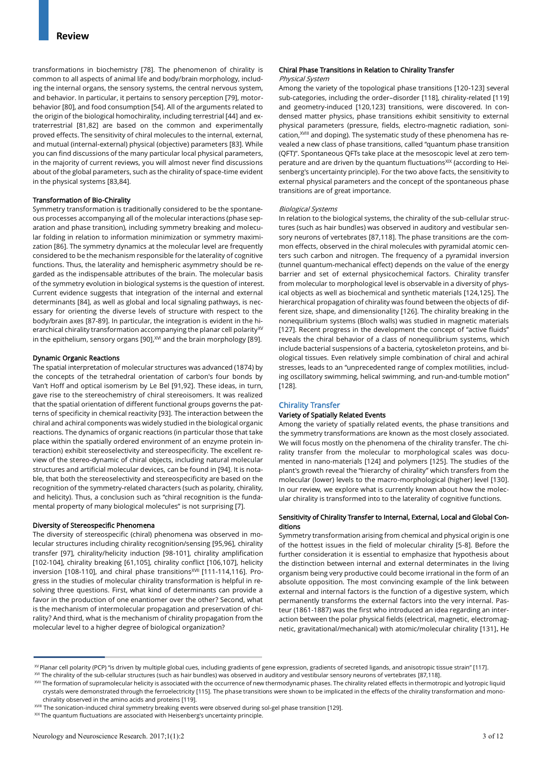transformations in biochemistry [78]. The phenomenon of chirality is common to all aspects of animal life and body/brain morphology, including the internal organs, the sensory systems, the central nervous system, and behavior. In particular, it pertains to sensory perception [79], motorbehavior [80], and food consumption [54]. All of the arguments related to the origin of the biological homochirality, including terrestrial [44] and extraterrestrial [81,82] are based on the common and experimentally proved effects. The sensitivity of chiral molecules to the internal, external, and mutual (internal-external) physical (objective) parameters [83]. While you can find discussions of the many particular local physical parameters, in the majority of current reviews, you will almost never find discussions about of the global parameters, such as the chirality of space-time evident in the physical systems [83,84].

#### Transformation of Bio-Chirality

Symmetry transformation is traditionally considered to be the spontaneous processes accompanying all of the molecular interactions (phase separation and phase transition), including symmetry breaking and molecular folding in relation to information minimization or symmetry maximization [86]. The symmetry dynamics at the molecular level are frequently considered to be the mechanism responsible for the laterality of cognitive functions. Thus, the laterality and hemispheric asymmetry should be regarded as the indispensable attributes of the brain. The molecular basis of the symmetry evolution in biological systems is the question of interest. Current evidence suggests that integration of the internal and external determinants [84], as well as global and local signaling pathways, is necessary for orienting the diverse levels of structure with respect to the body/brain axes [87-89]. In particular, the integration is evident in the hierarchical chirality transformation accompanying the planar cell polarity $X^V$ in the epithelium, sensory organs [90], XVI and the brain morphology [89].

#### Dynamic Organic Reactions

The spatial interpretation of molecular structures was advanced (1874) by the concepts of the tetrahedral orientation of carbon's four bonds by Van't Hoff and optical isomerism by Le Bel [91,92]. These ideas, in turn, gave rise to the stereochemistry of chiral stereoisomers. It was realized that the spatial orientation of different functional groups governs the patterns of specificity in chemical reactivity [93]. The interaction between the chiral and achiral components was widely studied in the biological organic reactions. The dynamics of organic reactions (in particular those that take place within the spatially ordered environment of an enzyme protein interaction) exhibit stereoselectivity and stereospecificity. The excellent review of the stereo-dynamic of chiral objects, including natural molecular structures and artificial molecular devices, can be found in [94]. It is notable, that both the stereoselectivity and stereospecificity are based on the recognition of the symmetry-related characters (such as polarity, chirality, and helicity). Thus, a conclusion such as "chiral recognition is the fundamental property of many biological molecules" is not surprising [7].

#### Diversity of Stereospecific Phenomena

The diversity of stereospecific (chiral) phenomena was observed in molecular structures including chirality recognition/sensing [95,96], chirality transfer [97], chirality/helicity induction [98-101], chirality amplification [102-104], chirality breaking [61,105], chirality conflict [106,107], helicity inversion [108-110], and chiral phase transitions<sup>XVII</sup> [111-114,116]. Progress in the studies of molecular chirality transformation is helpful in resolving three questions. First, what kind of determinants can provide a favor in the production of one enantiomer over the other? Second, what is the mechanism of intermolecular propagation and preservation of chirality? And third, what is the mechanism of chirality propagation from the molecular level to a higher degree of biological organization?

## Chiral Phase Transitions in Relation to Chirality Transfer

#### Physical System

Among the variety of the topological phase transitions [120-123] several sub-categories, including the order–disorder [118], chirality-related [119] and geometry-induced [120,123] transitions, were discovered. In condensed matter physics, phase transitions exhibit sensitivity to external physical parameters (pressure, fields, electro-magnetic radiation, sonication,<sup>XVIII</sup> and doping). The systematic study of these phenomena has revealed a new class of phase transitions, called "quantum phase transition (QFT)". Spontaneous QFTs take place at the mesoscopic level at zero temperature and are driven by the quantum fluctuations<sup>XIX</sup> (according to Heisenberg's uncertainty principle). For the two above facts, the sensitivity to external physical parameters and the concept of the spontaneous phase transitions are of great importance.

#### Biological Systems

In relation to the biological systems, the chirality of the sub-cellular structures (such as hair bundles) was observed in auditory and vestibular sensory neurons of vertebrates [87,118]. The phase transitions are the common effects, observed in the chiral molecules with pyramidal atomic centers such carbon and nitrogen. The frequency of a pyramidal inversion (tunnel quantum-mechanical effect) depends on the value of the energy barrier and set of external physicochemical factors. Chirality transfer from molecular to morphological level is observable in a diversity of physical objects as well as biochemical and synthetic materials [124,125]. The hierarchical propagation of chirality was found between the objects of different size, shape, and dimensionality [126]. The chirality breaking in the nonequilibrium systems (Bloch walls) was studied in magnetic materials [127]. Recent progress in the development the concept of "active fluids" reveals the chiral behavior of a class of nonequilibrium systems, which include bacterial suspensions of a bacteria, cytoskeleton proteins, and biological tissues. Even relatively simple combination of chiral and achiral stresses, leads to an "unprecedented range of complex motilities, including oscillatory swimming, helical swimming, and run-and-tumble motion" [128].

#### Chirality Transfer

#### Variety of Spatially Related Events

Among the variety of spatially related events, the phase transitions and the symmetry transformations are known as the most closely associated. We will focus mostly on the phenomena of the chirality transfer. The chirality transfer from the molecular to morphological scales was documented in nano-materials [124] and polymers [125]. The studies of the plant's growth reveal the "hierarchy of chirality" which transfers from the molecular (lower) levels to the macro-morphological (higher) level [130]. In our review, we explore what is currently known about how the molecular chirality is transformed into to the laterality of cognitive functions.

#### Sensitivity of Chirality Transfer to Internal, External, Local and Global Conditions

Symmetry transformation arising from chemical and physical origin is one of the hottest issues in the field of molecular chirality [5-8]. Before the further consideration it is essential to emphasize that hypothesis about the distinction between internal and external determinates in the living organism being very productive could become irrational in the form of an absolute opposition. The most convincing example of the link between external and internal factors is the function of a digestive system, which permanently transforms the external factors into the very internal. Pasteur (1861-1887) was the first who introduced an idea regarding an interaction between the polar physical fields (electrical, magnetic, electromagnetic, gravitational/mechanical) with atomic/molecular chirality [131]. He

<sup>&</sup>lt;sup>XV</sup> Planar cell polarity (PCP) "is driven by multiple global cues, including gradients of gene expression, gradients of secreted ligands, and anisotropic tissue strain" [117].

XVI The chirality of the sub-cellular structures (such as hair bundles) was observed in auditory and vestibular sensory neurons of vertebrates [87,118].

XVII The formation of supramolecular helicity is associated with the occurrence of new thermodynamic phases. The chirality related effects in thermotropic and lyotropic liquid crystals were demonstrated through the ferroelectricity [115]. The phase transitions were shown to be implicated in the effects of the chirality transformation and monochirality observed in the amino acids and proteins [119].

XVIII The sonication-induced chiral symmetry breaking events were observed during sol-gel phase transition [129].

 $XIX$  The quantum fluctuations are associated with Heisenberg's uncertainty principle.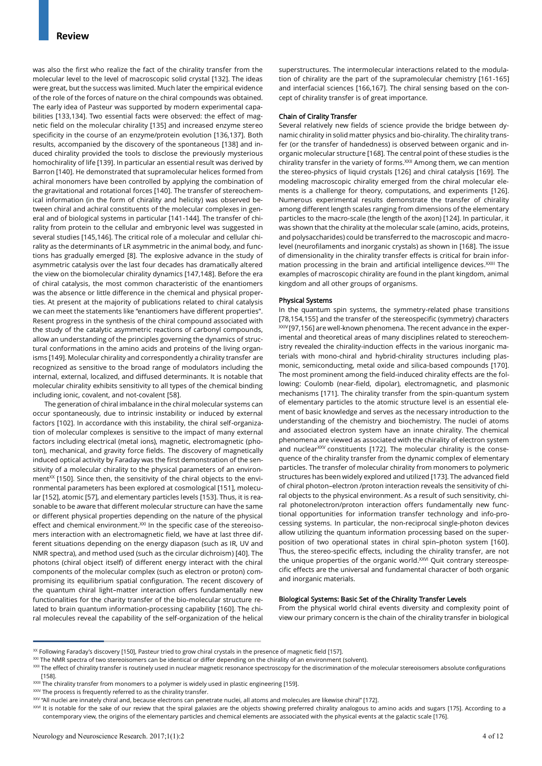was also the first who realize the fact of the chirality transfer from the molecular level to the level of macroscopic solid crystal [132]. The ideas were great, but the success was limited. Much later the empirical evidence of the role of the forces of nature on the chiral compounds was obtained. The early idea of Pasteur was supported by modern experimental capabilities [133,134]. Two essential facts were observed: the effect of magnetic field on the molecular chirality [135] and increased enzyme stereo specificity in the course of an enzyme/protein evolution [136,137]. Both results, accompanied by the discovery of the spontaneous [138] and induced chirality provided the tools to disclose the previously mysterious homochirality of life [139]. In particular an essential result was derived by Barron [140]. He demonstrated that supramolecular helices formed from achiral monomers have been controlled by applying the combination of the gravitational and rotational forces [140]. The transfer of stereochemical information (in the form of chirality and helicity) was observed between chiral and achiral constituents of the molecular complexes in general and of biological systems in particular [141-144]. The transfer of chirality from protein to the cellular and embryonic level was suggested in several studies [145,146]. The critical role of a molecular and cellular chirality as the determinants of LR asymmetric in the animal body, and functions has gradually emerged [8]. The explosive advance in the study of asymmetric catalysis over the last four decades has dramatically altered the view on the biomolecular chirality dynamics [147,148]. Before the era of chiral catalysis, the most common characteristic of the enantiomers was the absence or little difference in the chemical and physical properties. At present at the majority of publications related to chiral catalysis we can meet the statements like "enantiomers have different properties". Resent progress in the synthesis of the chiral compound associated with the study of the catalytic asymmetric reactions of carbonyl compounds, allow an understanding of the principles governing the dynamics of structural conformations in the amino acids and proteins of the living organisms [149]. Molecular chirality and correspondently a chirality transfer are recognized as sensitive to the broad range of modulators including the internal, external, localized, and diffused determinants. It is notable that molecular chirality exhibits sensitivity to all types of the chemical binding including ionic, covalent, and not-covalent [58].

The generation of chiral imbalance in the chiral molecular systems can occur spontaneously, due to intrinsic instability or induced by external factors [102]. In accordance with this instability, the chiral self-organization of molecular complexes is sensitive to the impact of many external factors including electrical (metal ions), magnetic, electromagnetic (photon), mechanical, and gravity force fields. The discovery of magnetically induced optical activity by Faraday was the first demonstration of the sensitivity of a molecular chirality to the physical parameters of an environment<sup>XX</sup> [150]. Since then, the sensitivity of the chiral objects to the environmental parameters has been explored at cosmological [151], molecular [152], atomic [57], and elementary particles levels [153]. Thus, it is reasonable to be aware that different molecular structure can have the same or different physical properties depending on the nature of the physical effect and chemical environment.<sup>XXI</sup> In the specific case of the stereoisomers interaction with an electromagnetic field, we have at last three different situations depending on the energy diapason (such as IR, UV and NMR spectra), and method used (such as the circular dichroism) [40]. The photons (chiral object itself) of different energy interact with the chiral components of the molecular complex (such as electron or proton) compromising its equilibrium spatial configuration. The recent discovery of the quantum chiral light–matter interaction offers fundamentally new functionalities for the charity transfer of the bio-molecular structure related to brain quantum information-processing capability [160]. The chiral molecules reveal the capability of the self-organization of the helical superstructures. The intermolecular interactions related to the modulation of chirality are the part of the supramolecular chemistry [161-165] and interfacial sciences [166,167]. The chiral sensing based on the concept of chirality transfer is of great importance.

#### Chain of Cirality Transfer

Several relatively new fields of science provide the bridge between dynamic chirality in solid matter physics and bio-chirality. The chirality transfer (or the transfer of handedness) is observed between organic and inorganic molecular structure [168]. The central point of these studies is the chirality transfer in the variety of forms.<sup>XXII</sup> Among them, we can mention the stereo-physics of liquid crystals [126] and chiral catalysis [169]. The modeling macroscopic chirality emerged from the chiral molecular elements is a challenge for theory, computations, and experiments [126]. Numerous experimental results demonstrate the transfer of chirality among different length scales ranging from dimensions of the elementary particles to the macro-scale (the length of the axon) [124]. In particular, it was shown that the chirality at the molecular scale (amino, acids, proteins, and polysaccharides) could be transferred to the macroscopic and macrolevel (neurofilaments and inorganic crystals) as shown in [168]. The issue of dimensionality in the chirality transfer effects is critical for brain information processing in the brain and artificial intelligence devices.<sup>XXIII</sup> The examples of macroscopic chirality are found in the plant kingdom, animal kingdom and all other groups of organisms.

#### Physical Systems

In the quantum spin systems, the symmetry-related phase transitions [78,154,155] and the transfer of the stereospecific (symmetry) characters XXIV [97,156] are well-known phenomena. The recent advance in the experimental and theoretical areas of many disciplines related to stereochemistry revealed the chirality-induction effects in the various inorganic materials with mono-chiral and hybrid-chirality structures including plasmonic, semiconducting, metal oxide and silica-based compounds [170]. The most prominent among the field-induced chirality effects are the following: Coulomb (near-field, dipolar), electromagnetic, and plasmonic mechanisms [171]. The chirality transfer from the spin-quantum system of elementary particles to the atomic structure level is an essential element of basic knowledge and serves as the necessary introduction to the understanding of the chemistry and biochemistry. The nuclei of atoms and associated electron system have an innate chirality. The chemical phenomena are viewed as associated with the chirality of electron system and nuclear<sup>XXV</sup> constituents [172]. The molecular chirality is the consequence of the chirality transfer from the dynamic complex of elementary particles. The transfer of molecular chirality from monomers to polymeric structures has been widely explored and utilized [173]. The advanced field of chiral photon–electron /proton interaction reveals the sensitivity of chiral objects to the physical environment. As a result of such sensitivity, chiral photonelectron/proton interaction offers fundamentally new functional opportunities for information transfer technology and info-processing systems. In particular, the non-reciprocal single-photon devices allow utilizing the quantum information processing based on the superposition of two operational states in chiral spin–photon system [160]. Thus, the stereo-specific effects, including the chirality transfer, are not the unique properties of the organic world.<sup>XXVI</sup> Quit contrary stereospecific effects are the universal and fundamental character of both organic and inorganic materials.

#### Biological Systems: Basic Set of the Chirality Transfer Levels

From the physical world chiral events diversity and complexity point of view our primary concern is the chain of the chirality transfer in biological

XXIV The process is frequently referred to as the chirality transfer.

<sup>&</sup>lt;sup>XX</sup> Following Faraday's discovery [150], Pasteur tried to grow chiral crystals in the presence of magnetic field [157].

XXI The NMR spectra of two stereoisomers can be identical or differ depending on the chirality of an environment (solvent).

XXII The effect of chirality transfer is routinely used in nuclear magnetic resonance spectroscopy for the discrimination of the molecular stereoisomers absolute configurations [158].

XXIII The chirality transfer from monomers to a polymer is widely used in plastic engineering [159].

XXV "All nuclei are innately chiral and, because electrons can penetrate nuclei, all atoms and molecules are likewise chiral" [172].

XXVI It is notable for the sake of our review that the spiral galaxies are the objects showing preferred chirality analogous to amino acids and sugars [175]. According to a contemporary view, the origins of the elementary particles and chemical elements are associated with the physical events at the galactic scale [176].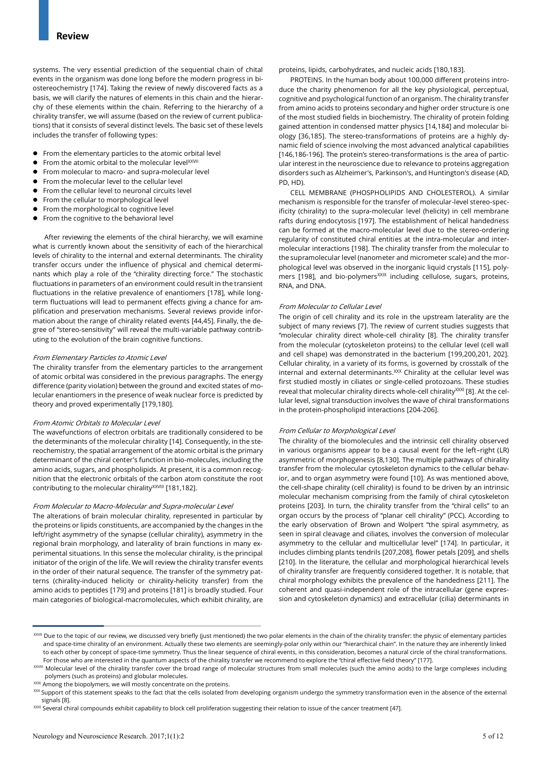systems. The very essential prediction of the sequential chain of chital events in the organism was done long before the modern progress in biostereochemistry [174]. Taking the review of newly discovered facts as a basis, we will clarify the natures of elements in this chain and the hierarchy of these elements within the chain. Referring to the hierarchy of a chirality transfer, we will assume (based on the review of current publications) that it consists of several distinct levels. The basic set of these levels includes the transfer of following types:

- From the elementary particles to the atomic orbital level
- $\bullet$  From the atomic orbital to the molecular level $^{XXVII}$
- From molecular to macro- and supra-molecular level
- From the molecular level to the cellular level
- From the cellular level to neuronal circuits level
- From the cellular to morphological level
- **•** From the morphological to cognitive level
- From the cognitive to the behavioral level

After reviewing the elements of the chiral hierarchy, we will examine what is currently known about the sensitivity of each of the hierarchical levels of chirality to the internal and external determinants. The chirality transfer occurs under the influence of physical and chemical determinants which play a role of the "chirality directing force." The stochastic fluctuations in parameters of an environment could result in the transient fluctuations in the relative prevalence of enantiomers [178], while longterm fluctuations will lead to permanent effects giving a chance for amplification and preservation mechanisms. Several reviews provide information about the range of chirality related events [44,45]. Finally, the degree of "stereo-sensitivity" will reveal the multi-variable pathway contributing to the evolution of the brain cognitive functions.

#### From Elementary Particles to Atomic Level

The chirality transfer from the elementary particles to the arrangement of atomic orbital was considered in the previous paragraphs. The energy difference (parity violation) between the ground and excited states of molecular enantiomers in the presence of weak nuclear force is predicted by theory and proved experimentally [179,180].

#### From Atomic Orbitals to Molecular Level

The wavefunctions of electron orbitals are traditionally considered to be the determinants of the molecular chirality [14]. Consequently, in the stereochemistry, the spatial arrangement of the atomic orbital is the primary determinant of the chiral center's function in bio-molecules, including the amino acids, sugars, and phospholipids. At present, it is a common recognition that the electronic orbitals of the carbon atom constitute the root contributing to the molecular chirality<sup>XXVIII</sup> [181,182].

#### From Molecular to Macro-Molecular and Supra-molecular Level

The alterations of brain molecular chirality, represented in particular by the proteins or lipids constituents, are accompanied by the changes in the left/right asymmetry of the synapse (cellular chirality), asymmetry in the regional brain morphology, and laterality of brain functions in many experimental situations. In this sense the molecular chirality, is the principal initiator of the origin of the life. We will review the chirality transfer events in the order of their natural sequence. The transfer of the symmetry patterns (chirality-induced helicity or chirality-helicity transfer) from the amino acids to peptides [179] and proteins [181] is broadly studied. Four main categories of biological-macromolecules, which exhibit chirality, are

## proteins, lipids, carbohydrates, and nucleic acids [180,183].

PROTEINS. In the human body about 100,000 different proteins introduce the charity phenomenon for all the key physiological, perceptual, cognitive and psychological function of an organism. The chirality transfer from amino acids to proteins secondary and higher order structure is one of the most studied fields in biochemistry. The chirality of protein folding gained attention in condensed matter physics [14,184] and molecular biology [36,185]. The stereo-transformations of proteins are a highly dynamic field of science involving the most advanced analytical capabilities [146,186-196]. The protein's stereo-transformations is the area of particular interest in the neuroscience due to relevance to proteins aggregation disorders such as Alzheimer's, Parkinson's, and Huntington's disease (AD, PD, HD).

CELL MEMBRANE (PHOSPHOLIPIDS AND CHOLESTEROL). A similar mechanism is responsible for the transfer of molecular-level stereo-specificity (chirality) to the supra-molecular level (helicity) in cell membrane rafts during endocytosis [197]. The establishment of helical handedness can be formed at the macro-molecular level due to the stereo-ordering regularity of constituted chiral entities at the intra-molecular and intermolecular interactions [198]. The chirality transfer from the molecular to the supramolecular level (nanometer and micrometer scale) and the morphological level was observed in the inorganic liquid crystals [115], polymers [198], and bio-polymers<sup>XXIX</sup> including cellulose, sugars, proteins, RNA, and DNA.

#### From Molecular to Cellular Level

The origin of cell chirality and its role in the upstream laterality are the subject of many reviews [7]. The review of current studies suggests that "molecular chirality direct whole-cell chirality [8]. The chirality transfer from the molecular (cytoskeleton proteins) to the cellular level (cell wall and cell shape) was demonstrated in the bacterium [199,200,201, 202]. Cellular chirality, in a variety of its forms, is governed by crosstalk of the internal and external determinants.<sup>XXX</sup> Chirality at the cellular level was first studied mostly in ciliates or single-celled protozoans. These studies reveal that molecular chirality directs whole-cell chirality<sup>XXXI</sup> [8]. At the cellular level, signal transduction involves the wave of chiral transformations in the protein-phospholipid interactions [204-206].

#### From Cellular to Morphological Level

The chirality of the biomolecules and the intrinsic cell chirality observed in various organisms appear to be a causal event for the left–right (LR) asymmetric of morphogenesis [8,130]. The multiple pathways of chirality transfer from the molecular cytoskeleton dynamics to the cellular behavior, and to organ asymmetry were found [10]. As was mentioned above, the cell-shape chirality (cell chirality) is found to be driven by an intrinsic molecular mechanism comprising from the family of chiral cytoskeleton proteins [203]. In turn, the chirality transfer from the "chiral cells" to an organ occurs by the process of "planar cell chirality" (PCC). According to the early observation of Brown and Wolpert "the spiral asymmetry, as seen in spiral cleavage and ciliates, involves the conversion of molecular asymmetry to the cellular and multicellular level" [174]. In particular, it includes climbing plants tendrils [207,208], flower petals [209], and shells [210]. In the literature, the cellular and morphological hierarchical levels of chirality transfer are frequently considered together. It is notable, that chiral morphology exhibits the prevalence of the handedness [211]. The coherent and quasi-independent role of the intracellular (gene expression and cytoskeleton dynamics) and extracellular (cilia) determinants in

XXIX Among the biopolymers, we will mostly concentrate on the proteins.

XXVII Due to the topic of our review, we discussed very briefly (just mentioned) the two polar elements in the chain of the chirality transfer: the physic of elementary particles and space-time chirality of an environment. Actually these two elements are seemingly-polar only within our "hierarchical chain". In the nature they are inherently linked to each other by concept of space-time symmetry. Thus the linear sequence of chiral events, in this consideration, becomes a natural circle of the chiral transformations. For those who are interested in the quantum aspects of the chirality transfer we recommend to explore the "chiral effective field theory" [177].

XXVIII Molecular level of the chirality transfer cover the broad range of molecular structures from small molecules (such the amino acids) to the large complexes including polymers (such as proteins) and globular molecules.

XXX Support of this statement speaks to the fact that the cells isolated from developing organism undergo the symmetry transformation even in the absence of the external signals [8].

XXXI Several chiral compounds exhibit capability to block cell proliferation suggesting their relation to issue of the cancer treatment [47].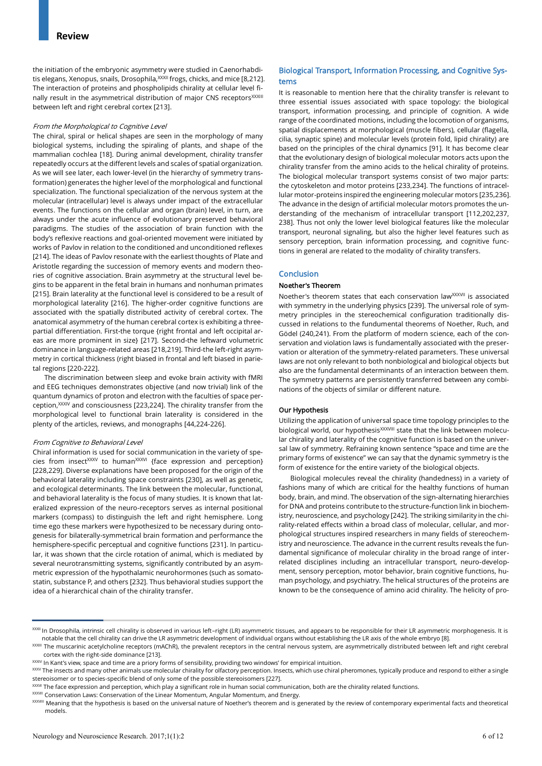the initiation of the embryonic asymmetry were studied in Caenorhabditis elegans, Xenopus, snails, Drosophila, XXXII frogs, chicks, and mice [8,212]. The interaction of proteins and phospholipids chirality at cellular level finally result in the asymmetrical distribution of major CNS receptors<sup>XXXIII</sup> between left and right cerebral cortex [213].

#### From the Morphological to Cognitive Level

The chiral, spiral or helical shapes are seen in the morphology of many biological systems, including the spiraling of plants, and shape of the mammalian cochlea [18]. During animal development, chirality transfer repeatedly occurs at the different levels and scales of spatial organization. As we will see later, each lower-level (in the hierarchy of symmetry transformation) generates the higher level of the morphological and functional specialization. The functional specialization of the nervous system at the molecular (intracellular) level is always under impact of the extracellular events. The functions on the cellular and organ (brain) level, in turn, are always under the acute influence of evolutionary preserved behavioral paradigms. The studies of the association of brain function with the body's reflexive reactions and goal-oriented movement were initiated by works of Pavlov in relation to the conditioned and unconditioned reflexes [214]. The ideas of Pavlov resonate with the earliest thoughts of Plate and Aristotle regarding the succession of memory events and modern theories of cognitive association. Brain asymmetry at the structural level begins to be apparent in the fetal brain in humans and nonhuman primates [215]. Brain laterality at the functional level is considered to be a result of morphological laterality [216]. The higher-order cognitive functions are associated with the spatially distributed activity of cerebral cortex. The anatomical asymmetry of the human cerebral cortex is exhibiting a threepartial differentiation. First-the torque {right frontal and left occipital areas are more prominent in size} [217]. Second-the leftward volumetric dominance in language-related areas [218,219]. Third-the left-right asymmetry in cortical thickness (right biased in frontal and left biased in parietal regions [220-222].

The discrimination between sleep and evoke brain activity with fMRI and EEG techniques demonstrates objective (and now trivial) link of the quantum dynamics of proton and electron with the faculties of space perception, XXXIV and consciousness [223,224]. The chirality transfer from the morphological level to functional brain laterality is considered in the plenty of the articles, reviews, and monographs [44,224-226].

#### From Cognitive to Behavioral Level

Chiral information is used for social communication in the variety of species from insect<sup>XXXV</sup> to human<sup>XXXVI</sup> {face expression and perception} [228,229]. Diverse explanations have been proposed for the origin of the behavioral laterality including space constraints [230], as well as genetic, and ecological determinants. The link between the molecular, functional, and behavioral laterality is the focus of many studies. It is known that lateralized expression of the neuro-receptors serves as internal positional markers (compass) to distinguish the left and right hemisphere. Long time ego these markers were hypothesized to be necessary during ontogenesis for bilaterally-symmetrical brain formation and performance the hemisphere-specific perceptual and cognitive functions [231]. In particular, it was shown that the circle rotation of animal, which is mediated by several neurotransmitting systems, significantly contributed by an asymmetric expression of the hypothalamic neurohormones (such as somatostatin, substance P, and others [232]. Thus behavioral studies support the idea of a hierarchical chain of the chirality transfer.

## Biological Transport, Information Processing, and Cognitive Systems

It is reasonable to mention here that the chirality transfer is relevant to three essential issues associated with space topology: the biological transport, information processing, and principle of cognition. A wide range of the coordinated motions, including the locomotion of organisms, spatial displacements at morphological (muscle fibers), cellular (flagella, cilia, synaptic spine) and molecular levels (protein fold, lipid chirality) are based on the principles of the chiral dynamics [91]. It has become clear that the evolutionary design of biological molecular motors acts upon the chirality transfer from the amino acids to the helical chirality of proteins. The biological molecular transport systems consist of two major parts: the cytoskeleton and motor proteins [233,234]. The functions of intracellular motor-proteins inspired the engineering molecular motors [235,236]. The advance in the design of artificial molecular motors promotes the understanding of the mechanism of intracellular transport [112,202,237, 238]. Thus not only the lower level biological features like the molecular transport, neuronal signaling, but also the higher level features such as sensory perception, brain information processing, and cognitive functions in general are related to the modality of chirality transfers.

#### **Conclusion**

#### Noether's Theorem

Noether's theorem states that each conservation law<sup>XXXVII</sup> is associated with symmetry in the underlying physics [239]. The universal role of symmetry principles in the stereochemical configuration traditionally discussed in relations to the fundumental theorems of Noether, Ruch, and Gödel (240,241). From the platform of modern science, each of the conservation and violation laws is fundamentally associated with the preservation or alteration of the symmetry-related parameters. These universal laws are not only relevant to both nonbiological and biological objects but also are the fundamental determinants of an interaction between them. The symmetry patterns are persistently transferred between any combinations of the objects of similar or different nature.

#### Our Hypothesis

Utilizing the application of universal space time topology principles to the biological world, our hypothesis<sup>XXXVIII</sup> state that the link between molecular chirality and laterality of the cognitive function is based on the universal law of symmetry. Refraining known sentence "space and time are the primary forms of existence" we can say that the dynamic symmetry is the form of existence for the entire variety of the biological objects.

Biological molecules reveal the chirality (handedness) in a variety of fashions many of which are critical for the healthy functions of human body, brain, and mind. The observation of the sign-alternating hierarchies for DNA and proteins contribute to the structure-function link in biochemistry, neuroscience, and psychology [242]. The striking similarity in the chirality-related effects within a broad class of molecular, cellular, and morphological structures inspired researchers in many fields of stereochemistry and neuroscience. The advance in the current results reveals the fundamental significance of molecular chirality in the broad range of interrelated disciplines including an intracellular transport, neuro-development, sensory perception, motor behavior, brain cognitive functions, human psychology, and psychiatry. The helical structures of the proteins are known to be the consequence of amino acid chirality. The helicity of pro-

XXXII In Drosophila, intrinsic cell chirality is observed in various left-right (LR) asymmetric tissues, and appears to be responsible for their LR asymmetric morphogenesis. It is notable that the cell chirality can drive the LR asymmetric development of individual organs without establishing the LR axis of the whole embryo [8].

XXXIII The muscarinic acetylcholine receptors (mAChR), the prevalent receptors in the central nervous system, are asymmetrically distributed between left and right cerebral cortex with the right-side dominance [213].

XXXIV In Kant's view, space and time are a priory forms of sensibility, providing two windows' for empirical intuition.

XXXV The insects and many other animals use molecular chirality for olfactory perception. Insects, which use chiral pheromones, typically produce and respond to either a single stereoisomer or to species-specific blend of only some of the possible stereoisomers [227].

XXXVI The face expression and perception, which play a significant role in human social communication, both are the chirality related functions.

XXXVII Conservation Laws: Conservation of the Linear Momentum, Angular Momentum, and Energy.

XXXVIII Meaning that the hypothesis is based on the universal nature of Noether's theorem and is generated by the review of contemporary experimental facts and theoretical models.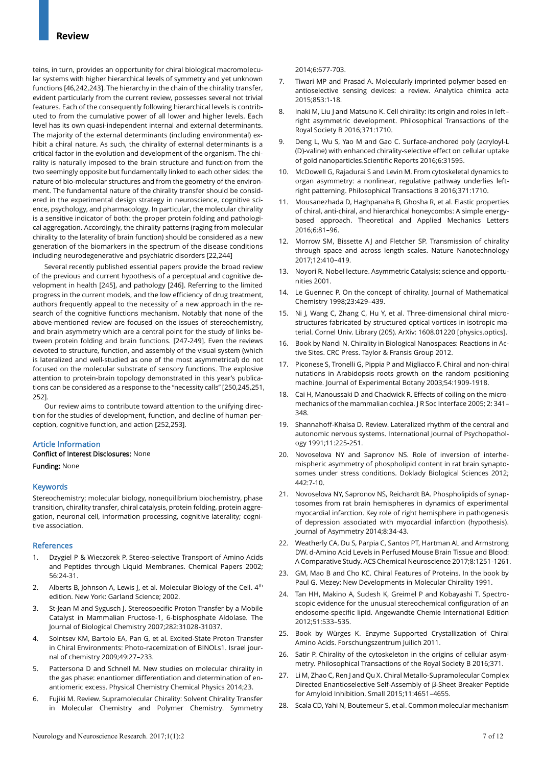teins, in turn, provides an opportunity for chiral biological macromolecular systems with higher hierarchical levels of symmetry and yet unknown functions [46,242,243]. The hierarchy in the chain of the chirality transfer, evident particularly from the current review, possesses several not trivial features. Each of the consequently following hierarchical levels is contributed to from the cumulative power of all lower and higher levels. Each level has its own quasi-independent internal and external determinants. The majority of the external determinants (including environmental) exhibit a chiral nature. As such, the chirality of external determinants is a critical factor in the evolution and development of the organism. The chirality is naturally imposed to the brain structure and function from the two seemingly opposite but fundamentally linked to each other sides: the nature of bio-molecular structures and from the geometry of the environment. The fundamental nature of the chirality transfer should be considered in the experimental design strategy in neuroscience, cognitive science, psychology, and pharmacology. In particular, the molecular chirality is a sensitive indicator of both: the proper protein folding and pathological aggregation. Accordingly, the chirality patterns (raging from molecular chirality to the laterality of brain function) should be considered as a new generation of the biomarkers in the spectrum of the disease conditions including neurodegenerative and psychiatric disorders [22,244]

Several recently published essential papers provide the broad review of the previous and current hypothesis of a perceptual and cognitive development in health [245], and pathology [246]. Referring to the limited progress in the current models, and the low efficiency of drug treatment, authors frequently appeal to the necessity of a new approach in the research of the cognitive functions mechanism. Notably that none of the above-mentioned review are focused on the issues of stereochemistry, and brain asymmetry which are a central point for the study of links between protein folding and brain functions. [247-249]. Even the reviews devoted to structure, function, and assembly of the visual system (which is lateralized and well-studied as one of the most asymmetrical) do not focused on the molecular substrate of sensory functions. The explosive attention to protein-brain topology demonstrated in this year's publications can be considered as a response to the "necessity calls'' [250,245,251, 252].

Our review aims to contribute toward attention to the unifying direction for the studies of development, function, and decline of human perception, cognitive function, and action [252,253].

#### Article Information

## Conflict of Interest Disclosures: None

Funding: None

#### Keywords

Stereochemistry; molecular biology, nonequilibrium biochemistry, phase transition, chirality transfer, chiral catalysis, protein folding, protein aggregation, neuronal cell, information processing, cognitive laterality; cognitive association.

#### References

- 1. Dzygiel P & Wieczorek P. Stereo-selective Transport of Amino Acids and Peptides through Liquid Membranes. Chemical Papers 2002; 56:24-31.
- 2. Alberts B, Johnson A, Lewis J, et al. Molecular Biology of the Cell.  $4<sup>th</sup>$ edition. New York: Garland Science; 2002.
- 3. St-Jean M and Sygusch J. Stereospecific Proton Transfer by a Mobile Catalyst in Mammalian Fructose-1, 6-bisphosphate Aldolase. The Journal of Biological Chemistry 2007;282:31028-31037.
- 4. Solntsev KM, Bartolo EA, Pan G, et al. Excited-State Proton Transfer in Chiral Environments: Photo-racemization of BINOLs1. Israel journal of chemistry 2009;49:27–233.
- 5. Pattersona D and Schnell M. New studies on molecular chirality in the gas phase: enantiomer differentiation and determination of enantiomeric excess. Physical Chemistry Chemical Physics 2014;23.
- 6. Fujiki M. Review. Supramolecular Chirality: Solvent Chirality Transfer in Molecular Chemistry and Polymer Chemistry. Symmetry

2014;6:677-703.

- 7. Tiwari MP and Prasad A. Molecularly imprinted polymer based enantioselective sensing devices: a review. Analytica chimica acta 2015;853:1-18.
- 8. Inaki M, Liu J and Matsuno K. Cell chirality: its origin and roles in leftright asymmetric development. Philosophical Transactions of the Royal Society B 2016;371:1710.
- 9. Deng L, Wu S, Yao M and Gao C. Surface-anchored poly (acryloyl-L (D)-valine) with enhanced chirality-selective effect on cellular uptake of gold nanoparticles.Scientific Reports 2016;6:31595.
- 10. McDowell G, Rajadurai S and Levin M. From cytoskeletal dynamics to organ asymmetry: a nonlinear, regulative pathway underlies leftright patterning. Philosophical Transactions B 2016;371:1710.
- 11. Mousanezhada D, Haghpanaha B, Ghosha R, et al. Elastic properties of chiral, anti-chiral, and hierarchical honeycombs: A simple energybased approach. Theoretical and Applied Mechanics Letters 2016;6:81–96.
- 12. Morrow SM, Bissette AJ and Fletcher SP. Transmission of chirality through space and across length scales. Nature Nanotechnology 2017;12:410–419.
- 13. Noyori R. Nobel lecture. Asymmetric Catalysis; science and opportunities 2001.
- 14. Le Guennec P. On the concept of chirality. Journal of Mathematical Chemistry 1998;23:429–439.
- 15. Ni J, Wang C, Zhang C, Hu Y, et al. Three-dimensional chiral microstructures fabricated by structured optical vortices in isotropic material. Cornel Univ. Library (205). ArXiv: 1608.01220 [physics.optics].
- 16. Book by Nandi N. Chirality in Biological Nanospaces: Reactions in Active Sites. CRC Press. Taylor & Fransis Group 2012.
- 17. Piconese S, Tronelli G, Pippia P and Migliacco F. Chiral and non-chiral nutations in Arabidopsis roots growth on the random positioning machine. Journal of Experimental Botany 2003;54:1909-1918.
- 18. Cai H, Manoussaki D and Chadwick R. Effects of coiling on the micromechanics of the mammalian cochlea. J R Soc Interface 2005; 2: 341– 348.
- 19. Shannahoff-Khalsa D. Review. Lateralized rhythm of the central and autonomic nervous systems. International Journal of Psychopathology 1991;11:225-251.
- 20. Novoselova NY and Sapronov NS. Role of inversion of interhemispheric asymmetry of phospholipid content in rat brain synaptosomes under stress conditions. Doklady Biological Sciences 2012; 442:7-10.
- 21. Novoselova NY, Sapronov NS, Reichardt BA. Phospholipids of synaptosomes from rat brain hemispheres in dynamics of experimental myocardial infarction. Key role of right hemisphere in pathogenesis of depression associated with myocardial infarction (hypothesis). Journal of Asymmetry 2014;8:34-43.
- 22. Weatherly CA, Du S, Parpia C, Santos PT, Hartman AL and Armstrong DW. d-Amino Acid Levels in Perfused Mouse Brain Tissue and Blood: A Comparative Study. ACS Chemical Neuroscience 2017;8:1251-1261.
- 23. GM, Mao B and Cho KC. Chiral Features of Proteins. In the book by Paul G. Mezey: New Developments in Molecular Chirality 1991.
- 24. Tan HH, Makino A, Sudesh K, Greimel P and Kobayashi T. Spectroscopic evidence for the unusual stereochemical configuration of an endosome-specific lipid. Angewandte Chemie International Edition 2012;51:533–535.
- 25. Book by Würges K. Enzyme Supported Crystallization of Chiral Amino Acids. Forschungszentrum Juilich 2011.
- 26. Satir P. Chirality of the cytoskeleton in the origins of cellular asymmetry. Philosophical Transactions of the Royal Society B 2016;371.
- 27. Li M, Zhao C, Ren J and Qu X. Chiral Metallo-Supramolecular Complex Directed Enantioselective Self-Assembly of β-Sheet Breaker Peptide for Amyloid Inhibition. Small 2015;11:4651–4655.
- 28. Scala CD, Yahi N, Boutemeur S, et al. Common molecular mechanism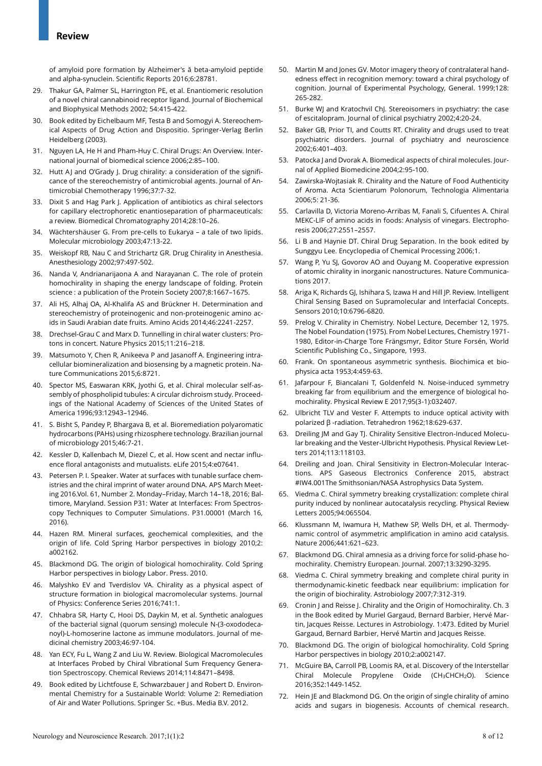of amyloid pore formation by Alzheimer's ă beta-amyloid peptide and alpha-synuclein. Scientific Reports 2016;6:28781.

- 29. Thakur GA, Palmer SL, Harrington PE, et al. Enantiomeric resolution of a novel chiral cannabinoid receptor ligand. Journal of Biochemical and Biophysical Methods 2002; 54:415-422.
- 30. Book edited by Eichelbaum MF, Testa B and Somogyi A. Stereochemical Aspects of Drug Action and Dispositio. Springer-Verlag Berlin Heidelberg (2003).
- 31. Nguyen LA, He H and Pham-Huy C. Chiral Drugs: An Overview. International journal of biomedical science 2006;2:85–100.
- 32. Hutt AJ and O'Grady J. Drug chirality: a consideration of the significance of the stereochemistry of antimicrobial agents. Journal of Antimicrobial Chemotherapy 1996;37:7-32.
- 33. Dixit S and Hag Park J. Application of antibiotics as chiral selectors for capillary electrophoretic enantioseparation of pharmaceuticals: a review. Biomedical Chromatography 2014;28:10–26.
- 34. Wächtershäuser G. From pre-cells to Eukarya a tale of two lipids. Molecular microbiology 2003;47:13-22.
- 35. Weiskopf RB, Nau C and Strichartz GR. Drug Chirality in Anesthesia. Anesthesiology 2002;97:497-502.
- 36. Nanda V, Andrianarijaona A and Narayanan C. The role of protein homochirality in shaping the energy landscape of folding. Protein science : a publication of the Protein Society 2007;8:1667–1675.
- 37. Ali HS, Alhaj OA, Al-Khalifa AS and Brückner H. Determination and stereochemistry of proteinogenic and non-proteinogenic amino acids in Saudi Arabian date fruits. Amino Acids 2014;46:2241-2257.
- 38. Drechsel-Grau C and Marx D. Tunnelling in chiral water clusters: Protons in concert. Nature Physics 2015;11:216–218.
- 39. Matsumoto Y, Chen R, Anikeeva P and Jasanoff A. Engineering intracellular biomineralization and biosensing by a magnetic protein. Nature Communications 2015;6:8721.
- 40. Spector MS, Easwaran KRK, Jyothi G, et al. Chiral molecular self-assembly of phospholipid tubules: A circular dichroism study. Proceedings of the National Academy of Sciences of the United States of America 1996;93:12943–12946.
- 41. S. Bisht S, Pandey P, Bhargava B, et al. Bioremediation polyaromatic hydrocarbons (PAHs) using rhizosphere technology. Brazilian journal of microbiology 2015;46:7-21.
- 42. Kessler D, Kallenbach M, Diezel C, et al. How scent and nectar influence floral antagonists and mutualists. eLife 2015;4:e07641.
- 43. Petersen P. I. Speaker. Water at surfaces with tunable surface chemistries and the chiral imprint of water around DNA. APS March Meeting 2016.Vol. 61, Number 2. Monday–Friday, March 14–18, 2016; Baltimore, Maryland. Session P31: Water at Interfaces: From Spectroscopy Techniques to Computer Simulations. P31.00001 (March 16, 2016).
- 44. Hazen RM. Mineral surfaces, geochemical complexities, and the origin of life. Cold Spring Harbor perspectives in biology 2010;2: a002162.
- 45. Blackmond DG. The origin of biological homochirality. Cold Spring Harbor perspectives in biology Labor. Press. 2010.
- 46. Malyshko EV and Tverdislov VA. Chirality as a physical aspect of structure formation in biological macromolecular systems. Journal of Physics: Conference Series 2016;741:1.
- 47. Chhabra SR, Harty C, Hooi DS, Daykin M, et al. Synthetic analogues of the bacterial signal (quorum sensing) molecule N-(3-oxododecanoyl)-L-homoserine lactone as immune modulators. Journal of medicinal chemistry 2003;46:97-104.
- 48. Yan ECY, Fu L, Wang Z and Liu W. Review. Biological Macromolecules at Interfaces Probed by Chiral Vibrational Sum Frequency Generation Spectroscopy. Chemical Reviews 2014;114:8471–8498.
- 49. Book edited by Lichtfouse E, Schwarzbauer J and Robert D. Environmental Chemistry for a Sustainable World: Volume 2: Remediation of Air and Water Pollutions. Springer Sc. +Bus. Media B.V. 2012.
- 50. Martin M and Jones GV. Motor imagery theory of contralateral handedness effect in recognition memory: toward a chiral psychology of cognition. Journal of Experimental Psychology, General. 1999;128: 265-282.
- 51. Burke WJ and Kratochvil ChJ. Stereoisomers in psychiatry: the case of escitalopram. Journal of clinical psychiatry 2002;4:20-24.
- 52. Baker GB, Prior TI, and Coutts RT. Chirality and drugs used to treat psychiatric disorders. Journal of psychiatry and neuroscience 2002;6:401–403.
- 53. Patocka J and Dvorak A. Biomedical aspects of chiral molecules. Journal of Applied Biomedicine 2004;2:95-100.
- 54. Zawirska-Wojtasiak R. Chirality and the Nature of Food Authenticity of Aroma. Acta Scientiarum Polonorum, Technologia Alimentaria 2006;5: 21-36.
- 55. Carlavilla D, Victoria Moreno-Arribas M, Fanali S, Cifuentes A. Chiral MEKC-LIF of amino acids in foods: Analysis of vinegars. Electrophoresis 2006;27:2551–2557.
- 56. Li B and Haynie DT. Chiral Drug Separation. In the book edited by Sunggyu Lee. Encyclopedia of Chemical Processing 2006;1.
- 57. Wang P, Yu SJ, Govorov AO and Ouyang M. Cooperative expression of atomic chirality in inorganic nanostructures. Nature Communications 2017.
- 58. Ariga K, Richards GJ, Ishihara S, Izawa H and Hill JP. Review. Intelligent Chiral Sensing Based on Supramolecular and Interfacial Concepts. Sensors 2010;10:6796-6820.
- 59. Prelog V. Chirality in Chemistry. Nobel Lecture, December 12, 1975. The Nobel Foundation (1975). From Nobel Lectures, Chemistry 1971- 1980, Editor-in-Charge Tore Frängsmyr, Editor Sture Forsén, World Scientific Publishing Co., Singapore, 1993.
- 60. Frank. On spontaneous asymmetric synthesis. Biochimica et biophysica acta 1953;4:459-63.
- 61. Jafarpour F, Biancalani T, Goldenfeld N. Noise-induced symmetry breaking far from equilibrium and the emergence of biological homochirality. Physical Review E 2017;95(3-1):032407.
- 62. Ulbricht TLV and Vester F. Attempts to induce optical activity with polarized β -radiation. Tetrahedron 1962;18:629-637.
- 63. Dreiling JM and Gay TJ. Chirality Sensitive Electron-Induced Molecular breaking and the Vester-Ulbricht Hypothesis. Physical Review Letters 2014;113:118103.
- 64. Dreiling and Joan. Chiral Sensitivity in Electron-Molecular Interactions. APS Gaseous Electronics Conference 2015, abstract #IW4.001The Smithsonian/NASA Astrophysics Data System.
- 65. Viedma C. Chiral symmetry breaking crystallization: complete chiral purity induced by nonlinear autocatalysis recycling. Physical Review Letters 2005;94:065504.
- 66. Klussmann M, Iwamura H, Mathew SP, Wells DH, et al. Thermodynamic control of asymmetric amplification in amino acid catalysis. Nature 2006;441:621–623.
- 67. Blackmond DG. Chiral amnesia as a driving force for solid-phase homochirality. Chemistry European. Journal. 2007;13:3290-3295.
- 68. Viedma C. Chiral symmetry breaking and complete chiral purity in thermodynamic-kinetic feedback near equilibrium: implication for the origin of biochirality. Astrobiology 2007;7:312-319.
- 69. Cronin J and Reisse J. Chirality and the Origin of Homochirality. Ch. 3 in the Book edited by Muriel Gargaud, Bernard Barbier, Hervé Martin, Jacques Reisse. Lectures in Astrobiology. 1:473. Edited by Muriel Gargaud, Bernard Barbier, Hervé Martin and Jacques Reisse.
- 70. Blackmond DG. The origin of biological homochirality. Cold Spring Harbor perspectives in biology 2010;2:a002147.
- 71. McGuire BA, Carroll PB, Loomis RA, et al. Discovery of the Interstellar Chiral Molecule Propylene Oxide (CH3CHCH2O). Science 2016;352:1449-1452.
- 72. Hein JE and Blackmond DG. On the origin of single chirality of amino acids and sugars in biogenesis. Accounts of chemical research.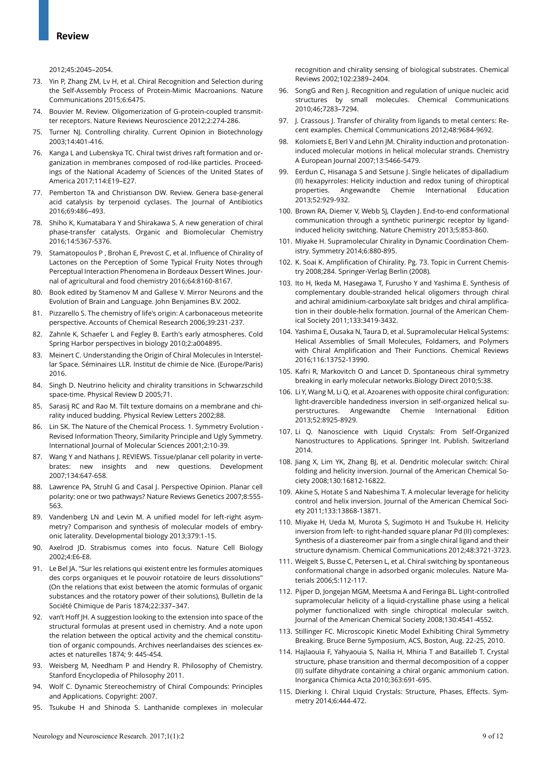2012;45:2045–2054.

- 73. Yin P, Zhang ZM, Lv H, et al. Chiral Recognition and Selection during the Self-Assembly Process of Protein-Mimic Macroanions. Nature Communications 2015;6:6475.
- 74. Bouvier M. Review. Oligomerization of G-protein-coupled transmitter receptors. Nature Reviews Neuroscience 2012;2:274-286.
- 75. Turner NJ. Controlling chirality. Current Opinion in Biotechnology 2003;14:401-416.
- 76. Kanga L and Lubenskya TC. Chiral twist drives raft formation and organization in membranes composed of rod-like particles. Proceedings of the National Academy of Sciences of the United States of America 2017;114:E19–E27.
- 77. Pemberton TA and Christianson DW. Review. Genera base-general acid catalysis by terpenoid cyclases. The Journal of Antibiotics 2016;69:486–493.
- 78. Shiho K, Kumatabara Y and Shirakawa S. A new generation of chiral phase-transfer catalysts. Organic and Biomolecular Chemistry 2016;14:5367-5376.
- 79. Stamatopoulos P , Brohan E, Prevost C, et al. Influence of Chirality of Lactones on the Perception of Some Typical Fruity Notes through Perceptual Interaction Phenomena in Bordeaux Dessert Wines. Journal of agricultural and food chemistry 2016;64:8160-8167.
- 80. Book edited by Stamenov M and Gallese V. Mirror Neurons and the Evolution of Brain and Language. John Benjamines B.V. 2002.
- 81. Pizzarello S. The chemistry of life's origin: A carbonaceous meteorite perspective. Accounts of Chemical Research 2006;39:231-237.
- 82. Zahnle K, Schaefer L and Fegley B. Earth's early atmospheres. Cold Spring Harbor perspectives in biology 2010;2:a004895.
- 83. Meinert C. Understanding the Origin of Chiral Molecules in Interstellar Space. Séminaires LLR. Institut de chimie de Nice. (Europe/Paris) 2016.
- 84. Singh D. Neutrino helicity and chirality transitions in Schwarzschild space-time. Physical Review D 2005;71.
- 85. Sarasij RC and Rao M. Tilt texture domains on a membrane and chirality induced budding. Physical Review Letters 2002;88.
- 86. Lin SK. The Nature of the Chemical Process. 1. Symmetry Evolution Revised Information Theory, Similarity Principle and Ugly Symmetry. International Journal of Molecular Sciences 2001;2:10-39.
- 87. Wang Y and Nathans J. REVIEWS. Tissue/planar cell polarity in vertebrates: new insights and new questions. Development 2007;134:647-658.
- 88. Lawrence PA, Struhl G and Casal J. Perspective Opinion. Planar cell polarity: one or two pathways? Nature Reviews Genetics 2007;8:555- 563.
- 89. Vandenberg LN and Levin M. A unified model for left-right asymmetry? Comparison and synthesis of molecular models of embryonic laterality. Developmental biology 2013;379:1-15.
- 90. Axelrod JD. Strabismus comes into focus. Nature Cell Biology 2002;4:E6-E8.
- 91. Le Bel JA. "Sur les relations qui existent entre les formules atomiques des corps organiques et le pouvoir rotatoire de leurs dissolutions" (On the relations that exist between the atomic formulas of organic substances and the rotatory power of their solutions), Bulletin de la Société Chimique de Paris 1874;22:337–347.
- 92. van't Hoff JH. A suggestion looking to the extension into space of the structural formulas at present used in chemistry. And a note upon the relation between the optical activity and the chemical constitution of organic compounds. Archives neerlandaises des sciences exactes et naturelles 1874; 9: 445-454.
- 93. Weisberg M, Needham P and Hendry R. Philosophy of Chemistry. Stanford Encyclopedia of Philosophy 2011.
- 94. Wolf C. Dynamic Stereochemistry of Chiral Compounds: Principles and Applications. Copyright: 2007.
- 95. Tsukube H and Shinoda S. Lanthanide complexes in molecular

recognition and chirality sensing of biological substrates. Chemical Reviews 2002;102:2389–2404.

- 96. SongG and Ren J. Recognition and regulation of unique nucleic acid structures by small molecules. Chemical Communications 2010;46:7283–7294.
- 97. J. Crassous J. Transfer of chirality from ligands to metal centers: Recent examples. Chemical Communications 2012;48:9684-9692.
- 98. Kolomiets E, Berl V and Lehn JM. Chirality induction and protonationinduced molecular motions in helical molecular strands. Chemistry A European Journal 2007;13:5466-5479.
- 99. Eerdun C, Hisanaga S and Setsune J. Single helicates of dipalladium (II) hexapyrroles: Helicity induction and redox tuning of chiroptical properties. Angewandte Chemie International Education 2013;52:929-932.
- 100. Brown RA, Diemer V, Webb SJ, Clayden J. End-to-end conformational communication through a synthetic purinergic receptor by ligandinduced helicity switching. Nature Chemistry 2013;5:853-860.
- 101. Miyake H. Supramolecular Chirality in Dynamic Coordination Chemistry. Symmetry 2014;6:880-895.
- 102. K. Soai K. Amplification of Chirality. Pg. 73. Topic in Current Chemistry 2008;284. Springer-Verlag Berlin (2008).
- 103. Ito H, Ikeda M, Hasegawa T, Furusho Y and Yashima E. Synthesis of complementary double-stranded helical oligomers through chiral and achiral amidinium-carboxylate salt bridges and chiral amplification in their double-helix formation. Journal of the American Chemical Society 2011;133:3419-3432.
- 104. Yashima E, Ousaka N, Taura D, et al. Supramolecular Helical Systems: Helical Assemblies of Small Molecules, Foldamers, and Polymers with Chiral Amplification and Their Functions. Chemical Reviews 2016;116:13752-13990.
- 105. Kafri R, Markovitch O and Lancet D. Spontaneous chiral symmetry breaking in early molecular networks.Biology Direct 2010;5:38.
- 106. Li Y, Wang M, Li Q, et al. Azoarenes with opposite chiral configuration: light-dravercible handedness inversion in self-organized helical superstructures. Angewandte Chemie International Edition 2013;52:8925-8929.
- 107. Li Q. Nanoscience with Liquid Crystals: From Self-Organized Nanostructures to Applications. Springer Int. Publish. Switzerland 2014.
- 108. Jiang X, Lim YK, Zhang BJ, et al. Dendritic molecular switch: Chiral folding and helicity inversion. Journal of the American Chemical Society 2008;130:16812-16822.
- 109. Akine S, Hotate S and Nabeshima T. A molecular leverage for helicity control and helix inversion. Journal of the American Chemical Society 2011;133:13868-13871.
- 110. Miyake H, Ueda M, Murota S, Sugimoto H and Tsukube H. Helicity inversion from left- to right-handed square planar Pd (II) complexes: Synthesis of a diastereomer pair from a single chiral ligand and their structure dynamism. Chemical Communications 2012;48:3721-3723.
- 111. Weigelt S, Busse C, Petersen L, et al. Chiral switching by spontaneous conformational change in adsorbed organic molecules. Nature Materials 2006;5:112-117.
- 112. Pijper D, Jongejan MGM, Meetsma A and Feringa BL. Light-controlled supramolecular helicity of a liquid-crystalline phase using a helical polymer functionalized with single chiroptical molecular switch. Journal of the American Chemical Society 2008;130:4541-4552.
- 113. Stillinger FC. Microscopic Kinetic Model Exhibiting Chiral Symmetry Breaking. Bruce Berne Symposium, ACS, Boston, Aug. 22-25, 2010.
- 114. Hajlaouia F, Yahyaouia S, Nailia H, Mhiria T and Batailleb T. Crystal structure, phase transition and thermal decomposition of a copper (II) sulfate dihydrate containing a chiral organic ammonium cation. Inorganica Chimica Acta 2010;363:691-695.
- 115. Dierking I. Chiral Liquid Crystals: Structure, Phases, Effects. Symmetry 2014;6:444-472.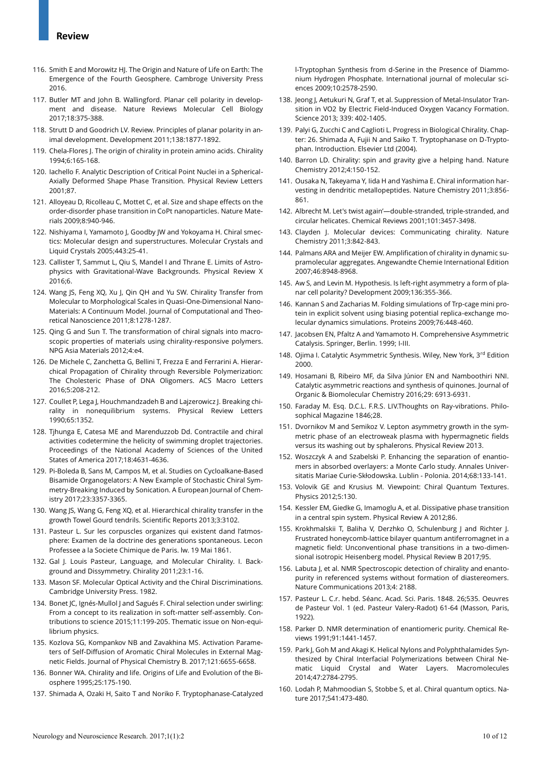- 116. Smith E and Morowitz HJ. The Origin and Nature of Life on Earth: The Emergence of the Fourth Geosphere. Cambroge University Press 2016.
- 117. Butler MT and John B. Wallingford. Planar cell polarity in development and disease. Nature Reviews Molecular Cell Biology 2017;18:375-388.
- 118. Strutt D and Goodrich LV. Review. Principles of planar polarity in animal development. Development 2011;138:1877-1892.
- 119. Chela-Flores J. The origin of chirality in protein amino acids. Chirality 1994;6:165-168.
- 120. Iachello F. Analytic Description of Critical Point Nuclei in a Spherical-Axially Deformed Shape Phase Transition. Physical Review Letters 2001;87.
- 121. Alloyeau D, Ricolleau C, Mottet C, et al. Size and shape effects on the order-disorder phase transition in CoPt nanoparticles. Nature Materials 2009;8:940-946.
- 122. Nishiyama I, Yamamoto J, Goodby JW and Yokoyama H. Chiral smectics: Molecular design and superstructures. Molecular Crystals and Liquid Crystals 2005;443:25-41.
- 123. Callister T, Sammut L, Qiu S, Mandel I and Thrane E. Limits of Astrophysics with Gravitational-Wave Backgrounds. Physical Review X 2016;6.
- 124. Wang JS, Feng XQ, Xu J, Qin QH and Yu SW. Chirality Transfer from Molecular to Morphological Scales in Quasi-One-Dimensional Nano-Materials: A Continuum Model. Journal of Computational and Theoretical Nanoscience 2011;8:1278-1287.
- 125. Qing G and Sun T. The transformation of chiral signals into macroscopic properties of materials using chirality-responsive polymers. NPG Asia Materials 2012;4:e4.
- 126. De Michele C, Zanchetta G, Bellini T, Frezza E and Ferrarini A. Hierarchical Propagation of Chirality through Reversible Polymerization: The Cholesteric Phase of DNA Oligomers. ACS Macro Letters 2016;5:208-212.
- 127. Coullet P, Lega J, Houchmandzadeh B and Lajzerowicz J. Breaking chirality in nonequilibrium systems. Physical Review Letters 1990;65:1352.
- 128. Tjhunga E, Catesa ME and Marenduzzob Dd. Contractile and chiral activities codetermine the helicity of swimming droplet trajectories. Proceedings of the National Academy of Sciences of the United States of America 2017;18:4631-4636.
- 129. Pi-Boleda B, Sans M, Campos M, et al. Studies on Cycloalkane-Based Bisamide Organogelators: A New Example of Stochastic Chiral Symmetry-Breaking Induced by Sonication. A European Journal of Chemistry 2017;23:3357-3365.
- 130. Wang JS, Wang G, Feng XQ, et al. Hierarchical chirality transfer in the growth Towel Gourd tendrils. Scientific Reports 2013;3:3102.
- 131. Pasteur L. Sur les corpuscles organizes qui existent dand l'atmosphere: Examen de la doctrine des generations spontaneous. Lecon Professee a la Societe Chimique de Paris. lw. 19 Mai 1861.
- 132. Gal J. Louis Pasteur, Language, and Molecular Chirality. I. Background and Dissymmetry. Chirality 2011;23:1-16.
- 133. Mason SF. Molecular Optical Activity and the Chiral Discriminations. Cambridge University Press. 1982.
- 134. Bonet JC, Ignés-Mullol J and Sagués F. Chiral selection under swirling: From a concept to its realization in soft-matter self-assembly. Contributions to science 2015;11:199-205. Thematic issue on Non-equilibrium physics.
- 135. Kozlova SG, Kompankov NB and Zavakhina MS. Activation Parameters of Self-Diffusion of Aromatic Chiral Molecules in External Magnetic Fields. Journal of Physical Chemistry B. 2017;121:6655-6658.
- 136. Bonner WA. Chirality and life. Origins of Life and Evolution of the Biosphere 1995;25:175-190.
- 137. Shimada A, Ozaki H, Saito T and Noriko F. Tryptophanase-Catalyzed

l-Tryptophan Synthesis from d-Serine in the Presence of Diammonium Hydrogen Phosphate. International journal of molecular sciences 2009;10:2578-2590.

- 138. Jeong J, Aetukuri N, Graf T, et al. Suppression of Metal-Insulator Transition in VO2 by Electric Field-Induced Oxygen Vacancy Formation. Science 2013; 339: 402-1405.
- 139. Palyi G, Zucchi C and Caglioti L. Progress in Biological Chirality. Chapter: 26. Shimada A, Fujii N and Saiko T. Tryptophanase on D-Tryptophan. Introduction. Elsevier Ltd (2004).
- 140. Barron LD. Chirality: spin and gravity give a helping hand. Nature Chemistry 2012;4:150-152.
- 141. Ousaka N, Takeyama Y, Iida H and Yashima E. Chiral information harvesting in dendritic metallopeptides. Nature Chemistry 2011;3:856- 861.
- 142. Albrecht M. Let's twist again'—double-stranded, triple-stranded, and circular helicates. Chemical Reviews 2001;101:3457-3498.
- 143. Clayden J. Molecular devices: Communicating chirality. Nature Chemistry 2011;3:842-843.
- 144. Palmans ARA and Meijer EW. Amplification of chirality in dynamic supramolecular aggregates. Angewandte Chemie International Edition 2007;46:8948-8968.
- 145. Aw S, and Levin M. Hypothesis. Is left-right asymmetry a form of planar cell polarity? Development 2009;136:355-366.
- 146. Kannan S and Zacharias M. Folding simulations of Trp-cage mini protein in explicit solvent using biasing potential replica-exchange molecular dynamics simulations. Proteins 2009;76:448-460.
- 147. Jacobsen EN, Pfaltz A and Yamamoto H. Comprehensive Asymmetric Catalysis. Springer, Berlin. 1999; I-III.
- 148. Ojima I. Catalytic Asymmetric Synthesis. Wiley, New York, 3rd Edition 2000.
- 149. Hosamani B, Ribeiro MF, da Silva Júnior EN and Namboothiri NNI. Catalytic asymmetric reactions and synthesis of quinones. Journal of Organic & Biomolecular Chemistry 2016;29: 6913-6931.
- 150. Faraday M. Esq. D.C.L. F.R.S. LIV.Thoughts on Ray-vibrations. Philosophical Magazine 1846;28.
- 151. Dvornikov M and Semikoz V. Lepton asymmetry growth in the symmetric phase of an electroweak plasma with hypermagnetic fields versus its washing out by sphalerons. Physical Review 2013.
- 152. Woszczyk A and Szabelski P. Enhancing the separation of enantiomers in absorbed overlayers: a Monte Carlo study. Annales Universitatis Mariae Curie-Skłodowska. Lublin - Polonia. 2014;68:133-141.
- 153. Volovik GE and Krusius M. Viewpoint: Chiral Quantum Textures. Physics 2012;5:130.
- 154. Kessler EM, Giedke G, Imamoglu A, et al. Dissipative phase transition in a central spin system. Physical Review A 2012;86.
- 155. Krokhmalskii T, Baliha V, Derzhko O, Schulenburg J and Richter J. Frustrated honeycomb-lattice bilayer quantum antiferromagnet in a magnetic field: Unconventional phase transitions in a two-dimensional isotropic Heisenberg model. Physical Review B 2017;95.
- 156. Labuta J, et al. NMR Spectroscopic detection of chirality and enantopurity in referenced systems without formation of diastereomers. Nature Communications 2013;4: 2188.
- 157. Pasteur L. C.r. hebd. Séanc. Acad. Sci. Paris. 1848. 26;535. Oeuvres de Pasteur Vol. 1 (ed. Pasteur Valery-Radot) 61-64 (Masson, Paris, 1922).
- 158. Parker D. NMR determination of enantiomeric purity. Chemical Reviews 1991;91:1441-1457.
- 159. Park J, Goh M and Akagi K. Helical Nylons and Polyphthalamides Synthesized by Chiral Interfacial Polymerizations between Chiral Nematic Liquid Crystal and Water Layers. Macromolecules 2014;47:2784-2795.
- 160. Lodah P, Mahmoodian S, Stobbe S, et al. Chiral quantum optics. Nature 2017;541:473-480.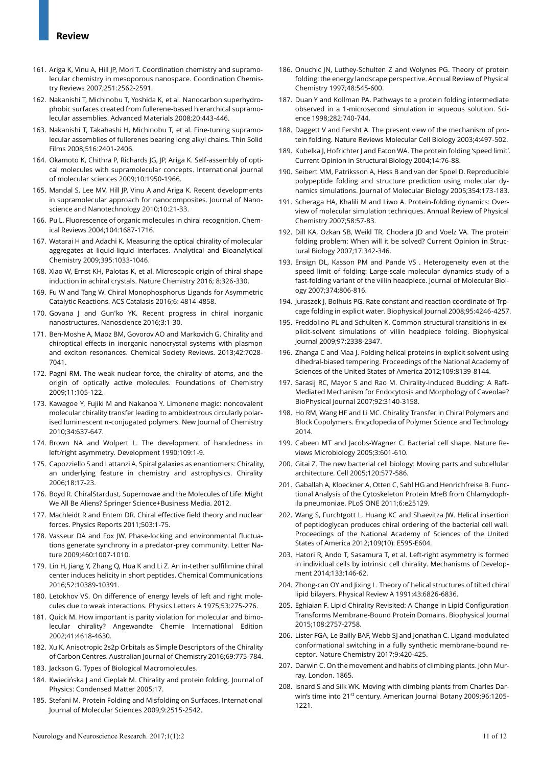## **Review**

- 161. Ariga K, Vinu A, Hill JP, Mori T. Coordination chemistry and supramolecular chemistry in mesoporous nanospace. Coordination Chemistry Reviews 2007;251:2562-2591.
- 162. Nakanishi T, Michinobu T, Yoshida K, et al. Nanocarbon superhydrophobic surfaces created from fullerene-based hierarchical supramolecular assemblies. Advanced Materials 2008;20:443-446.
- 163. Nakanishi T, Takahashi H, Michinobu T, et al. Fine-tuning supramolecular assemblies of fullerenes bearing long alkyl chains. Thin Solid Films 2008;516:2401-2406.
- 164. Okamoto K, Chithra P, Richards JG, JP, Ariga K. Self-assembly of optical molecules with supramolecular concepts. International journal of molecular sciences 2009;10:1950-1966.
- 165. Mandal S, Lee MV, Hill JP, Vinu A and Ariga K. Recent developments in supramolecular approach for nanocomposites. Journal of Nanoscience and Nanotechnology 2010;10:21-33.
- 166. Pu L. Fluorescence of organic molecules in chiral recognition. Chemical Reviews 2004;104:1687-1716.
- 167. Watarai H and Adachi K. Measuring the optical chirality of molecular aggregates at liquid-liquid interfaces. Analytical and Bioanalytical Chemistry 2009;395:1033-1046.
- 168. Xiao W, Ernst KH, Palotas K, et al. Microscopic origin of chiral shape induction in achiral crystals. Nature Chemistry 2016; 8:326-330.
- 169. Fu W and Tang W. Chiral Monophosphorus Ligands for Asymmetric Catalytic Reactions. ACS Catalasis 2016;6: 4814-4858.
- 170. Govana J and Gun'ko YK. Recent progress in chiral inorganic nanostructures. Nanoscience 2016;3:1-30.
- 171. Ben-Moshe A, Maoz BM, Govorov AO and Markovich G. Chirality and chiroptical effects in inorganic nanocrystal systems with plasmon and exciton resonances. Chemical Society Reviews. 2013;42:7028- 7041.
- 172. Pagni RM. The weak nuclear force, the chirality of atoms, and the origin of optically active molecules. Foundations of Chemistry 2009;11:105-122.
- 173. Kawagoe Y, Fujiki M and Nakanoa Y. Limonene magic: noncovalent molecular chirality transfer leading to ambidextrous circularly polarised luminescent π-conjugated polymers. New Journal of Chemistry 2010;34:637-647.
- 174. Brown NA and Wolpert L. The development of handedness in left/right asymmetry. Development 1990;109:1-9.
- 175. Capozziello S and Lattanzi A. Spiral galaxies as enantiomers: Chirality, an underlying feature in chemistry and astrophysics. Chirality 2006;18:17-23.
- 176. Boyd R. ChiralStardust, Supernovae and the Molecules of Life: Might We All Be Aliens? Springer Science+Business Media. 2012.
- 177. Machleidt R and Entem DR. Chiral effective field theory and nuclear forces. Physics Reports 2011;503:1-75.
- 178. Vasseur DA and Fox JW. Phase-locking and environmental fluctuations generate synchrony in a predator-prey community. Letter Nature 2009;460:1007-1010.
- 179. Lin H, Jiang Y, Zhang Q, Hua K and Li Z. An in-tether sulfilimine chiral center induces helicity in short peptides. Chemical Communications 2016;52:10389-10391.
- 180. Letokhov VS. On difference of energy levels of left and right molecules due to weak interactions. Physics Letters A 1975;53:275-276.
- 181. Quick M. How important is parity violation for molecular and bimolecular chirality? Angewandte Chemie International Edition 2002;41:4618-4630.
- 182. Xu K. Anisotropic 2s2p Orbitals as Simple Descriptors of the Chirality of Carbon Centres. Australian Journal of Chemistry 2016;69:775-784.
- 183. Jackson G. Types of Biological Macromolecules.
- 184. Kwiecińska J and Cieplak M. Chirality and protein folding. Journal of Physics: Condensed Matter 2005;17.
- 185. Stefani M. Protein Folding and Misfolding on Surfaces. International Journal of Molecular Sciences 2009;9:2515-2542.
- 186. Onuchic JN, Luthey-Schulten Z and Wolynes PG. Theory of protein folding: the energy landscape perspective. Annual Review of Physical Chemistry 1997;48:545-600.
- 187. Duan Y and Kollman PA. Pathways to a protein folding intermediate observed in a 1-microsecond simulation in aqueous solution. Science 1998;282:740-744.
- 188. Daggett V and Fersht A. The present view of the mechanism of protein folding. Nature Reviews Molecular Cell Biology 2003;4:497-502.
- 189. Kubelka J, Hofrichter J and Eaton WA. The protein folding 'speed limit'. Current Opinion in Structural Biology 2004;14:76-88.
- 190. Seibert MM, Patriksson A, Hess B and van der Spoel D. Reproducible polypeptide folding and structure prediction using molecular dynamics simulations. Journal of Molecular Biology 2005;354:173-183.
- 191. Scheraga HA, Khalili M and Liwo A. Protein-folding dynamics: Overview of molecular simulation techniques. Annual Review of Physical Chemistry 2007;58:57-83.
- 192. Dill KA, Ozkan SB, Weikl TR, Chodera JD and Voelz VA. The protein folding problem: When will it be solved? Current Opinion in Structural Biology 2007;17:342-346.
- 193. Ensign DL, Kasson PM and Pande VS . Heterogeneity even at the speed limit of folding: Large-scale molecular dynamics study of a fast-folding variant of the villin headpiece. Journal of Molecular Biology 2007;374:806-816.
- 194. Juraszek J, Bolhuis PG. Rate constant and reaction coordinate of Trpcage folding in explicit water. Biophysical Journal 2008;95:4246-4257.
- 195. Freddolino PL and Schulten K. Common structural transitions in explicit-solvent simulations of villin headpiece folding. Biophysical Journal 2009;97:2338-2347.
- 196. Zhanga C and Maa J. Folding helical proteins in explicit solvent using dihedral-biased tempering. Proceedings of the National Academy of Sciences of the United States of America 2012;109:8139-8144.
- 197. Sarasij RC, Mayor S and Rao M. Chirality-Induced Budding: A Raft-Mediated Mechanism for Endocytosis and Morphology of Caveolae? BioPhysical Journal 2007;92:3140-3158.
- 198. Ho RM, Wang HF and Li MC. Chirality Transfer in Chiral Polymers and Block Copolymers. Encyclopedia of Polymer Science and Technology 2014.
- 199. Cabeen MT and Jacobs-Wagner C. Bacterial cell shape. Nature Reviews Microbiology 2005;3:601-610.
- 200. Gitai Z. The new bacterial cell biology: Moving parts and subcellular architecture. Cell 2005;120:577-586.
- 201. Gaballah A, Kloeckner A, Otten C, Sahl HG and Henrichfreise B. Functional Analysis of the Cytoskeleton Protein MreB from Chlamydophila pneumoniae. PLoS ONE 2011;6:e25129.
- 202. Wang S, Furchtgott L, Huang KC and Shaevitza JW. Helical insertion of peptidoglycan produces chiral ordering of the bacterial cell wall. Proceedings of the National Academy of Sciences of the United States of America 2012;109(10): E595-E604.
- 203. Hatori R, Ando T, Sasamura T, et al. Left-right asymmetry is formed in individual cells by intrinsic cell chirality. Mechanisms of Development 2014;133:146-62.
- 204. Zhong-can OY and Jixing L. Theory of helical structures of tilted chiral lipid bilayers. Physical Review A 1991;43:6826-6836.
- 205. Eghiaian F. Lipid Chirality Revisited: A Change in Lipid Configuration Transforms Membrane-Bound Protein Domains. Biophysical Journal 2015;108:2757-2758.
- 206. Lister FGA, Le Bailly BAF, Webb SJ and Jonathan C. Ligand-modulated conformational switching in a fully synthetic membrane-bound receptor. Nature Chemistry 2017;9:420-425.
- 207. Darwin C. On the movement and habits of climbing plants. John Murray. London. 1865.
- 208. Isnard S and Silk WK. Moving with climbing plants from Charles Darwin's time into 21<sup>st</sup> century. American Journal Botany 2009;96:1205-1221.